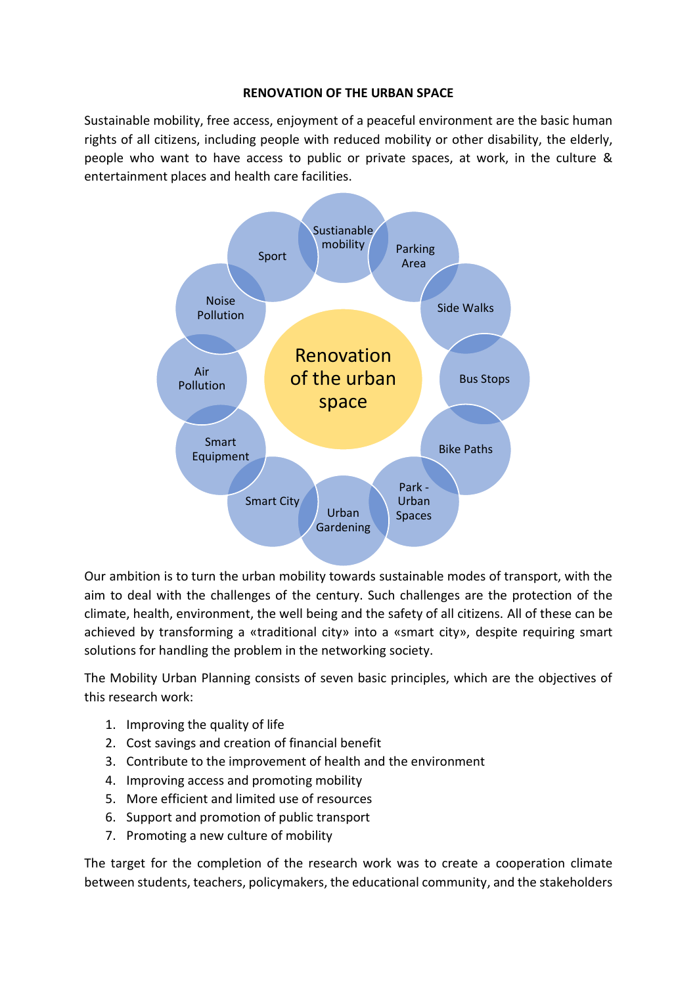### **RENOVATION OF THE URBAN SPACE**

Sustainable mobility, free access, enjoyment of a peaceful environment are the basic human rights of all citizens, including people with reduced mobility or other disability, the elderly, people who want to have access to public or private spaces, at work, in the culture & entertainment places and health care facilities.



Our ambition is to turn the urban mobility towards sustainable modes of transport, with the aim to deal with the challenges of the century. Such challenges are the protection of the climate, health, environment, the well being and the safety of all citizens. All of these can be achieved by transforming a «traditional city» into a «smart city», despite requiring smart solutions for handling the problem in the networking society.

The Mobility Urban Planning consists of seven basic principles, which are the objectives of this research work:

- 1. Improving the quality of life
- 2. Cost savings and creation of financial benefit
- 3. Contribute to the improvement of health and the environment
- 4. Improving access and promoting mobility
- 5. More efficient and limited use of resources
- 6. Support and promotion of public transport
- 7. Promoting a new culture of mobility

The target for the completion of the research work was to create a cooperation climate between students, teachers, policymakers, the educational community, and the stakeholders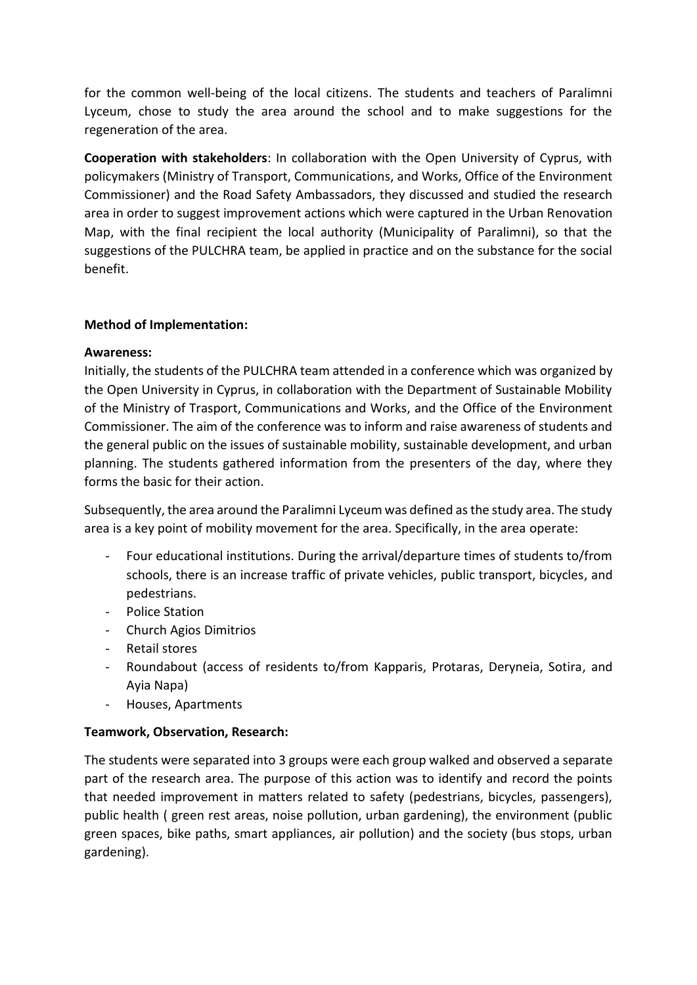for the common well-being of the local citizens. The students and teachers of Paralimni Lyceum, chose to study the area around the school and to make suggestions for the regeneration of the area.

**Cooperation with stakeholders**: In collaboration with the Open University of Cyprus, with policymakers (Ministry of Transport, Communications, and Works, Office of the Environment Commissioner) and the Road Safety Ambassadors, they discussed and studied the research area in order to suggest improvement actions which were captured in the Urban Renovation Map, with the final recipient the local authority (Municipality of Paralimni), so that the suggestions of the PULCHRA team, be applied in practice and on the substance for the social benefit.

## **Method of Implementation:**

### **Awareness:**

Initially, the students of the PULCHRA team attended in a conference which was organized by the Open University in Cyprus, in collaboration with the Department of Sustainable Mobility of the Ministry of Trasport, Communications and Works, and the Office of the Environment Commissioner. The aim of the conference was to inform and raise awareness of students and the general public on the issues of sustainable mobility, sustainable development, and urban planning. The students gathered information from the presenters of the day, where they forms the basic for their action.

Subsequently, the area around the Paralimni Lyceum was defined as the study area. The study area is a key point of mobility movement for the area. Specifically, in the area operate:

- Four educational institutions. During the arrival/departure times of students to/from schools, there is an increase traffic of private vehicles, public transport, bicycles, and pedestrians.
- Police Station
- Church Agios Dimitrios
- Retail stores
- Roundabout (access of residents to/from Kapparis, Protaras, Deryneia, Sotira, and Ayia Napa)
- Houses, Apartments

# **Teamwork, Observation, Research:**

The students were separated into 3 groups were each group walked and observed a separate part of the research area. The purpose of this action was to identify and record the points that needed improvement in matters related to safety (pedestrians, bicycles, passengers), public health ( green rest areas, noise pollution, urban gardening), the environment (public green spaces, bike paths, smart appliances, air pollution) and the society (bus stops, urban gardening).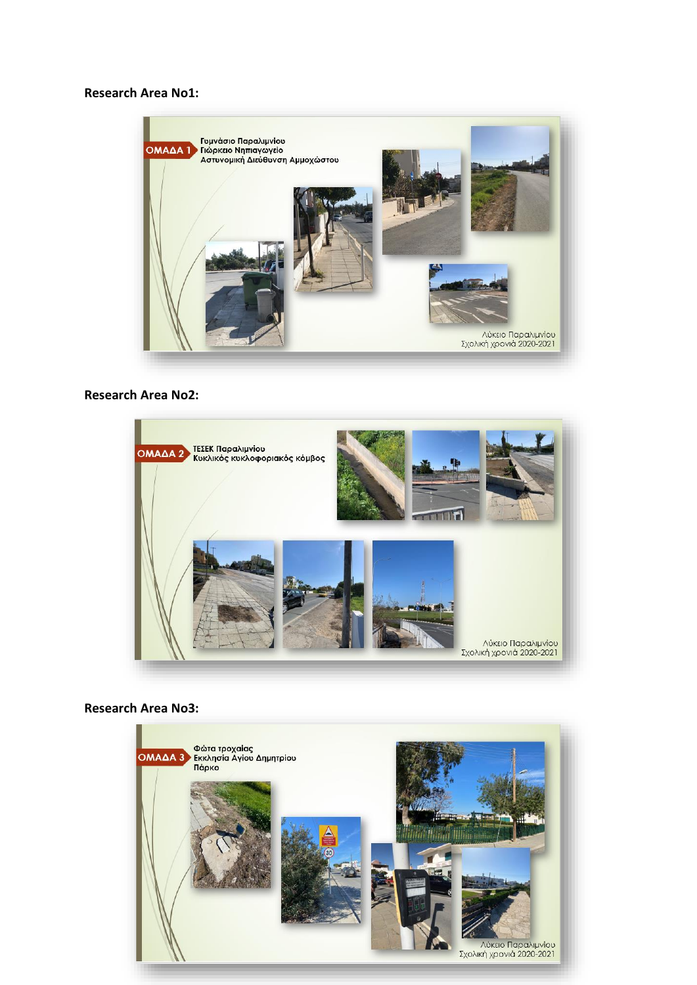#### **Research Area No1:**



### **Research Area No2:**



### **Research Area No3:**